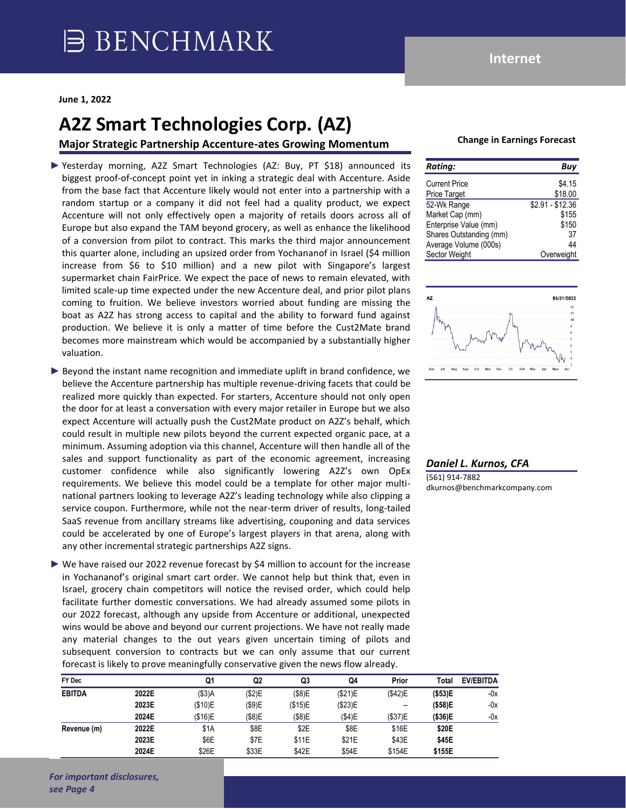# **A2Z Smart Technologies Corp. (AZ)**

**Major Strategic Partnership Accenture-ates Growing Momentum**

- ► Yesterday morning, A2Z Smart Technologies (AZ: Buy, PT \$18) announced its biggest proof-of-concept point yet in inking a strategic deal with Accenture. Aside from the base fact that Accenture likely would not enter into a partnership with a random startup or a company it did not feel had a quality product, we expect Accenture will not only effectively open a majority of retails doors across all of Europe but also expand the TAM beyond grocery, as well as enhance the likelihood of a conversion from pilot to contract. This marks the third major announcement this quarter alone, including an upsized order from Yochananof in Israel (\$4 million increase from \$6 to \$10 million) and a new pilot with Singapore's largest supermarket chain FairPrice. We expect the pace of news to remain elevated, with limited scale-up time expected under the new Accenture deal, and prior pilot plans coming to fruition. We believe investors worried about funding are missing the boat as A2Z has strong access to capital and the ability to forward fund against production. We believe it is only a matter of time before the Cust2Mate brand becomes more mainstream which would be accompanied by a substantially higher valuation.
- ► Beyond the instant name recognition and immediate uplift in brand confidence, we believe the Accenture partnership has multiple revenue-driving facets that could be realized more quickly than expected. For starters, Accenture should not only open the door for at least a conversation with every major retailer in Europe but we also expect Accenture will actually push the Cust2Mate product on A2Z's behalf, which could result in multiple new pilots beyond the current expected organic pace, at a minimum. Assuming adoption via this channel, Accenture will then handle all of the sales and support functionality as part of the economic agreement, increasing customer confidence while also significantly lowering A2Z's own OpEx requirements. We believe this model could be a template for other major multinational partners looking to leverage A2Z's leading technology while also clipping a service coupon. Furthermore, while not the near-term driver of results, long-tailed SaaS revenue from ancillary streams like advertising, couponing and data services could be accelerated by one of Europe's largest players in that arena, along with any other incremental strategic partnerships A2Z signs.
- ► We have raised our 2022 revenue forecast by \$4 million to account for the increase in Yochananof's original smart cart order. We cannot help but think that, even in Israel, grocery chain competitors will notice the revised order, which could help facilitate further domestic conversations. We had already assumed some pilots in our 2022 forecast, although any upside from Accenture or additional, unexpected wins would be above and beyond our current projections. We have not really made any material changes to the out years given uncertain timing of pilots and subsequent conversion to contracts but we can only assume that our current forecast is likely to prove meaningfully conservative given the news flow already.

| FY Dec        |       | Q1       | Q <sub>2</sub> | Q3      | Q4      | Prior   | Total    | <b>EV/EBITDA</b> |
|---------------|-------|----------|----------------|---------|---------|---------|----------|------------------|
| <b>EBITDA</b> | 2022E | $($3)$ A | (\$2)E         | (\$8)E  | (\$21)E | (\$42)E | ( \$53)E | -0x              |
|               | 2023E | (\$10)E  | (\$9)E         | (\$15)E | (\$23)E | --      | ( \$58)E | -0x              |
|               | 2024E | (\$16)E  | (\$8)E         | (\$8)E  | (\$4)E  | (\$37)E | (\$36)E  | -0x              |
| Revenue (m)   | 2022E | \$1A     | \$8E           | \$2E    | \$8E    | \$16E   | \$20E    |                  |
|               | 2023E | \$6E     | \$7E           | \$11E   | \$21E   | \$43E   | \$45E    |                  |
|               | 2024E | \$26E    | \$33E          | \$42E   | \$54E   | \$154E  | \$155E   |                  |

#### **Change in Earnings Forecast**

| <b>Rating:</b>          | Buy              |
|-------------------------|------------------|
| <b>Current Price</b>    | \$4.15           |
| <b>Price Target</b>     | \$18.00          |
| 52-Wk Range             | $$2.91 - $12.36$ |
| Market Cap (mm)         | \$155            |
| Enterprise Value (mm)   | \$150            |
| Shares Outstanding (mm) | 37               |
| Average Volume (000s)   | 44               |
| Sector Weight           | Overweight       |



### *Daniel L. Kurnos, CFA*

(561) 914-7882 dkurnos@benchmarkcompany.com

*For important disclosures, see Page 4*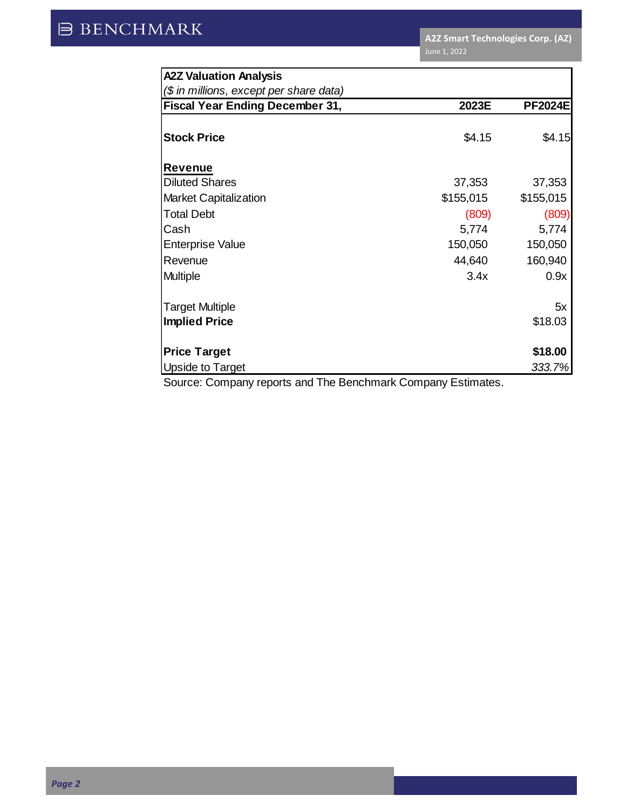| <b>A2Z Valuation Analysis</b>           |           |                |  |  |  |  |
|-----------------------------------------|-----------|----------------|--|--|--|--|
| (\$ in millions, except per share data) |           |                |  |  |  |  |
| <b>Fiscal Year Ending December 31,</b>  | 2023E     | <b>PF2024E</b> |  |  |  |  |
|                                         |           |                |  |  |  |  |
| <b>Stock Price</b>                      | \$4.15    | \$4.15         |  |  |  |  |
| <b>Revenue</b>                          |           |                |  |  |  |  |
| <b>Diluted Shares</b>                   | 37,353    | 37,353         |  |  |  |  |
| <b>Market Capitalization</b>            | \$155,015 | \$155,015      |  |  |  |  |
| <b>Total Debt</b>                       | (809)     | (809)          |  |  |  |  |
| Cash                                    | 5,774     | 5,774          |  |  |  |  |
| <b>Enterprise Value</b>                 | 150,050   | 150,050        |  |  |  |  |
| Revenue                                 | 44,640    | 160,940        |  |  |  |  |
| Multiple                                | 3.4x      | 0.9x           |  |  |  |  |
| <b>Target Multiple</b>                  |           | 5x             |  |  |  |  |
| <b>Implied Price</b>                    |           | \$18.03        |  |  |  |  |
| <b>Price Target</b>                     |           | \$18.00        |  |  |  |  |
| Upside to Target                        |           | 333.7%         |  |  |  |  |

Source: Company reports and The Benchmark Company Estimates.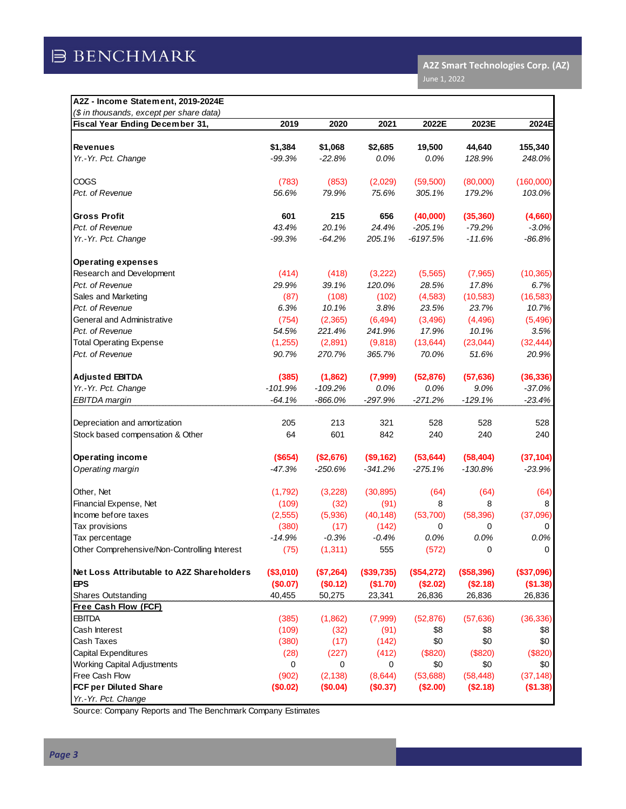| (\$ in thousands, except per share data)     |           |           |            |            |            |            |
|----------------------------------------------|-----------|-----------|------------|------------|------------|------------|
| Fiscal Year Ending December 31,              | 2019      | 2020      | 2021       | 2022E      | 2023E      | 2024E      |
| <b>Revenues</b>                              | \$1,384   | \$1,068   | \$2,685    | 19,500     | 44,640     | 155,340    |
| Yr.-Yr. Pct. Change                          | $-99.3%$  | $-22.8%$  | 0.0%       | 0.0%       | 128.9%     | 248.0%     |
| COGS                                         | (783)     | (853)     | (2,029)    | (59, 500)  | (80,000)   | (160,000)  |
| Pct. of Revenue                              | 56.6%     | 79.9%     | 75.6%      | 305.1%     | 179.2%     | 103.0%     |
| <b>Gross Profit</b>                          | 601       | 215       | 656        | (40,000)   | (35, 360)  | (4,660)    |
| Pct. of Revenue                              | 43.4%     | 20.1%     | 24.4%      | $-205.1%$  | $-79.2%$   | $-3.0%$    |
| Yr.-Yr. Pct. Change                          | $-99.3%$  | $-64.2%$  | 205.1%     | $-6197.5%$ | $-11.6%$   | $-86.8%$   |
| <b>Operating expenses</b>                    |           |           |            |            |            |            |
| Research and Development                     | (414)     | (418)     | (3,222)    | (5, 565)   | (7,965)    | (10, 365)  |
| Pct. of Revenue                              | 29.9%     | 39.1%     | 120.0%     | 28.5%      | 17.8%      | 6.7%       |
| Sales and Marketing                          | (87)      | (108)     | (102)      | (4, 583)   | (10, 583)  | (16, 583)  |
| Pct. of Revenue                              | 6.3%      | 10.1%     | 3.8%       | 23.5%      | 23.7%      | 10.7%      |
| General and Administrative                   | (754)     | (2, 365)  | (6, 494)   | (3, 496)   | (4, 496)   | (5, 496)   |
| Pct. of Revenue                              | 54.5%     | 221.4%    | 241.9%     | 17.9%      | 10.1%      | 3.5%       |
| <b>Total Operating Expense</b>               | (1,255)   | (2,891)   | (9,818)    | (13, 644)  | (23, 044)  | (32, 444)  |
| Pct. of Revenue                              | 90.7%     | 270.7%    | 365.7%     | 70.0%      | 51.6%      | 20.9%      |
| <b>Adjusted EBITDA</b>                       | (385)     | (1,862)   | (7,999)    | (52, 876)  | (57, 636)  | (36, 336)  |
| Yr.-Yr. Pct. Change                          | $-101.9%$ | $-109.2%$ | 0.0%       | 0.0%       | 9.0%       | $-37.0%$   |
| EBITDA margin                                | $-64.1%$  | $-866.0%$ | $-297.9%$  | $-271.2%$  | $-129.1%$  | $-23.4%$   |
| Depreciation and amortization                | 205       | 213       | 321        | 528        | 528        | 528        |
| Stock based compensation & Other             | 64        | 601       | 842        | 240        | 240        | 240        |
| <b>Operating income</b>                      | (\$654)   | (\$2,676) | (\$9,162)  | (53, 644)  | (58, 404)  | (37, 104)  |
| Operating margin                             | $-47.3%$  | $-250.6%$ | $-341.2%$  | $-275.1%$  | $-130.8%$  | $-23.9%$   |
| Other, Net                                   | (1,792)   | (3,228)   | (30, 895)  | (64)       | (64)       | (64)       |
| Financial Expense, Net                       | (109)     | (32)      | (91)       | 8          | 8          | 8          |
| Income before taxes                          | (2, 555)  | (5,936)   | (40, 148)  | (53,700)   | (58, 396)  | (37,096)   |
| Tax provisions                               | (380)     | (17)      | (142)      | 0          | 0          | 0          |
| Tax percentage                               | $-14.9%$  | $-0.3%$   | $-0.4%$    | 0.0%       | 0.0%       | 0.0%       |
| Other Comprehensive/Non-Controlling Interest | (75)      | (1, 311)  | 555        | (572)      | 0          | 0          |
| Net Loss Attributable to A2Z Shareholders    | (\$3,010) | (\$7,264) | (\$39,735) | (\$54,272) | (\$58,396) | (\$37,096) |
| <b>EPS</b>                                   | (\$0.07)  | (\$0.12)  | (\$1.70)   | (\$2.02)   | (\$2.18)   | (\$1.38)   |
| <b>Shares Outstanding</b>                    | 40,455    | 50,275    | 23,341     | 26,836     | 26,836     | 26,836     |
| Free Cash Flow (FCF)                         |           |           |            |            |            |            |
| EBITDA                                       | (385)     | (1,862)   | (7,999)    | (52, 876)  | (57, 636)  | (36, 336)  |
| Cash Interest                                | (109)     | (32)      | (91)       | \$8        | \$8        | \$8        |
| Cash Taxes                                   | (380)     | (17)      | (142)      | \$0        | \$0        | \$0        |
| Capital Expenditures                         | (28)      | (227)     | (412)      | (\$820)    | (\$820)    | (\$820)    |
| <b>Working Capital Adjustments</b>           | 0         | 0         | 0          | \$0        | \$0        | \$0        |
| Free Cash Flow                               | (902)     | (2, 138)  | (8,644)    | (53,688)   | (58, 448)  | (37, 148)  |
| FCF per Diluted Share                        | (\$0.02)  | (\$0.04)  | (\$0.37)   | (\$2.00)   | (\$2.18)   | (\$1.38)   |
| Yr.-Yr. Pct. Change                          |           |           |            |            |            |            |

Source: Company Reports and The Benchmark Company Estimates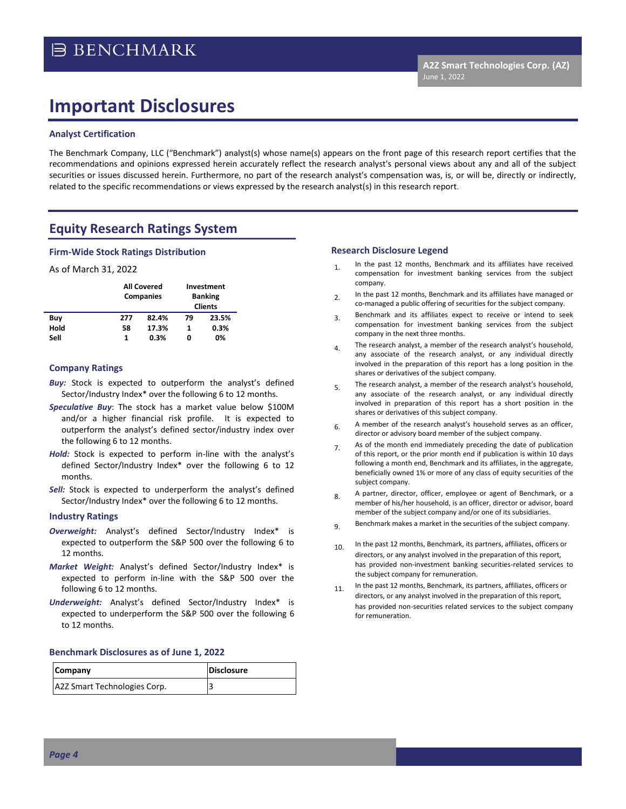## **Important Disclosures**

#### **Analyst Certification**

The Benchmark Company, LLC ("Benchmark") analyst(s) whose name(s) appears on the front page of this research report certifies that the recommendations and opinions expressed herein accurately reflect the research analyst's personal views about any and all of the subject securities or issues discussed herein. Furthermore, no part of the research analyst's compensation was, is, or will be, directly or indirectly, related to the specific recommendations or views expressed by the research analyst(s) in this research report.

## **Equity Research Ratings System**

#### **Firm-Wide Stock Ratings Distribution**

#### As of March 31, 2022

|      | <b>All Covered</b><br><b>Companies</b> |       | Investment<br><b>Banking</b><br><b>Clients</b> |       |  |
|------|----------------------------------------|-------|------------------------------------------------|-------|--|
| Buy  | 277                                    | 82.4% | 79                                             | 23.5% |  |
| Hold | 58                                     | 17.3% | 1                                              | 0.3%  |  |
| Sell | 1                                      | 0.3%  | 0                                              | 0%    |  |

#### **Company Ratings**

- **Buy:** Stock is expected to outperform the analyst's defined Sector/Industry Index\* over the following 6 to 12 months.
- *Speculative Buy*: The stock has a market value below \$100M and/or a higher financial risk profile. It is expected to outperform the analyst's defined sector/industry index over the following 6 to 12 months.
- *Hold:* Stock is expected to perform in-line with the analyst's defined Sector/Industry Index\* over the following 6 to 12 months.
- **Sell:** Stock is expected to underperform the analyst's defined Sector/Industry Index\* over the following 6 to 12 months.

#### **Industry Ratings**

- *Overweight:* Analyst's defined Sector/Industry Index\* is expected to outperform the S&P 500 over the following 6 to 12 months.
- *Market Weight:* Analyst's defined Sector/Industry Index\* is expected to perform in-line with the S&P 500 over the following 6 to 12 months.
- *Underweight:* Analyst's defined Sector/Industry Index\* is expected to underperform the S&P 500 over the following 6 to 12 months.

#### **Benchmark Disclosures as of June 1, 2022**

| Company                      | <b>Disclosure</b> |
|------------------------------|-------------------|
| A2Z Smart Technologies Corp. |                   |

#### **Research Disclosure Legend**

- 1. In the past 12 months, Benchmark and its affiliates have received compensation for investment banking services from the subject company.
- 2. In the past 12 months, Benchmark and its affiliates have managed or co-managed a public offering of securities for the subject company.
- 3. Benchmark and its affiliates expect to receive or intend to seek compensation for investment banking services from the subject company in the next three months.
- $4.$  The research analyst, a member of the research analyst's household, any associate of the research analyst, or any individual directly involved in the preparation of this report has a long position in the shares or derivatives of the subject company.
- 5. The research analyst, a member of the research analyst's household, any associate of the research analyst, or any individual directly involved in preparation of this report has a short position in the shares or derivatives of this subject company.
- $6.$  A member of the research analyst's household serves as an officer, director or advisory board member of the subject company.
- 7. As of the month end immediately preceding the date of publication of this report, or the prior month end if publication is within 10 days following a month end, Benchmark and its affiliates, in the aggregate, beneficially owned 1% or more of any class of equity securities of the subject company.
- 8. A partner, director, officer, employee or agent of Benchmark, or a member of his/her household, is an officer, director or advisor, board member of the subject company and/or one of its subsidiaries.
- 9. Benchmark makes a market in the securities of the subject company.
- 10. In the past 12 months, Benchmark, its partners, affiliates, officers or directors, or any analyst involved in the preparation of this report, has provided non-investment banking securities-related services to the subject company for remuneration.
- 11. In the past 12 months, Benchmark, its partners, affiliates, officers or directors, or any analyst involved in the preparation of this report, has provided non-securities related services to the subject company for remuneration.